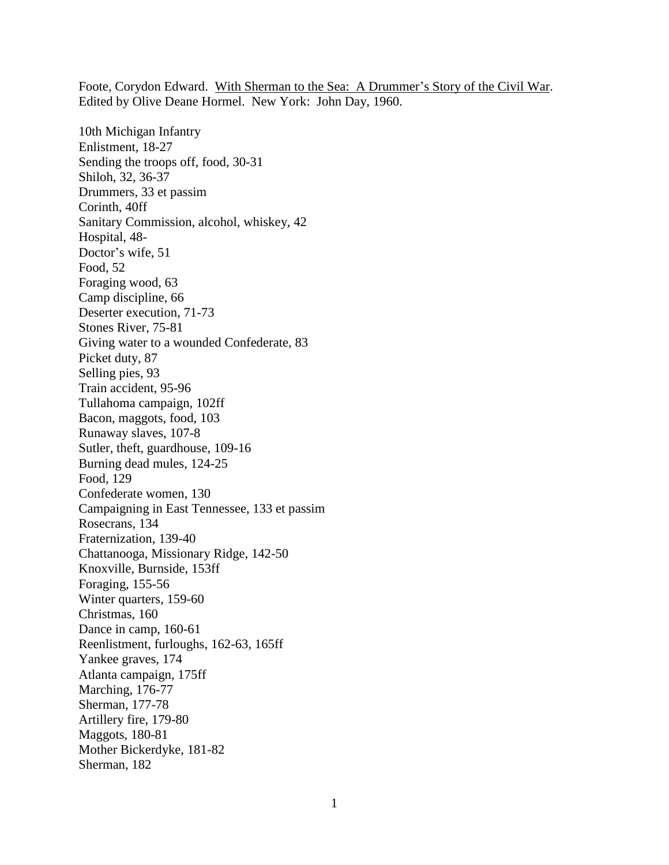Foote, Corydon Edward. With Sherman to the Sea: A Drummer's Story of the Civil War. Edited by Olive Deane Hormel. New York: John Day, 1960.

10th Michigan Infantry Enlistment, 18-27 Sending the troops off, food, 30-31 Shiloh, 32, 36-37 Drummers, 33 et passim Corinth, 40ff Sanitary Commission, alcohol, whiskey, 42 Hospital, 48- Doctor's wife, 51 Food, 52 Foraging wood, 63 Camp discipline, 66 Deserter execution, 71-73 Stones River, 75-81 Giving water to a wounded Confederate, 83 Picket duty, 87 Selling pies, 93 Train accident, 95-96 Tullahoma campaign, 102ff Bacon, maggots, food, 103 Runaway slaves, 107-8 Sutler, theft, guardhouse, 109-16 Burning dead mules, 124-25 Food, 129 Confederate women, 130 Campaigning in East Tennessee, 133 et passim Rosecrans, 134 Fraternization, 139-40 Chattanooga, Missionary Ridge, 142-50 Knoxville, Burnside, 153ff Foraging, 155-56 Winter quarters, 159-60 Christmas, 160 Dance in camp, 160-61 Reenlistment, furloughs, 162-63, 165ff Yankee graves, 174 Atlanta campaign, 175ff Marching, 176-77 Sherman, 177-78 Artillery fire, 179-80 Maggots, 180-81 Mother Bickerdyke, 181-82 Sherman, 182